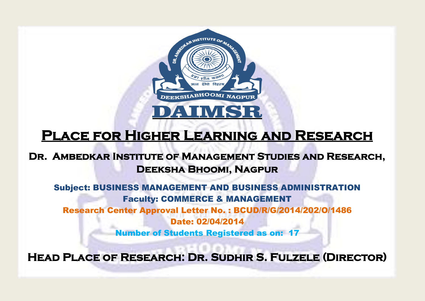

# **Place for Higher Learning and Research**

### **Dr. Ambedkar Institute of Management Studies and Research, Deeksha Bhoomi, Nagpur**

Subject: BUSINESS MANAGEMENT AND BUSINESS ADMINISTRATION Faculty: COMMERCE & MANAGEMENT Research Center Approval Letter No. : BCUD/R/G/2014/202/O/1486 Date: 02/04/2014 Number of Students Registered as on: 17

**Head Place of Research: Dr. Sudhir S. Fulzele (Director)**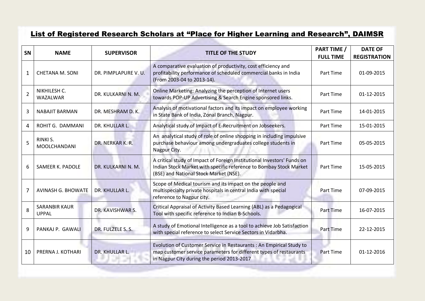#### List of Registered Research Scholars at "Place for Higher Learning and Research", DAIMSR

| <b>SN</b>      | <b>NAME</b>                          | <b>SUPERVISOR</b>    | <b>TITLE OF THE STUDY</b>                                                                                                                                                                | <b>PART TIME /</b><br><b>FULL TIME</b> | <b>DATE OF</b><br><b>REGISTRATION</b> |
|----------------|--------------------------------------|----------------------|------------------------------------------------------------------------------------------------------------------------------------------------------------------------------------------|----------------------------------------|---------------------------------------|
| $\mathbf{1}$   | <b>CHETANA M. SONI</b>               | DR. PIMPLAPURE V. U. | A comparative evaluation of productivity, cost efficiency and<br>profitability performance of scheduled commercial banks in India<br>(From 2003-04 to 2013-14).                          | Part Time                              | 01-09-2015                            |
| $\overline{2}$ | NIKHILESH C.<br>WAZALWAR             | DR. KULKARNI N. M.   | Online Marketing: Analyzing the perception of Internet users<br>towards POP-UP Advertising & Search Engine sponsored links.                                                              | Part Time                              | 01-12-2015                            |
| 3              | <b>NABAJIT BARMAN</b>                | DR. MESHRAM D. K.    | Analysis of motivational factors and its impact on employee working<br>in State Bank of India, Zonal Branch, Nagpur.                                                                     | Part Time                              | 14-01-2015                            |
| 4              | ROHIT G. DAMMANI                     | DR. KHULLAR L.       | Analytical study of Impact of E-Recruitment on Jobseekers.                                                                                                                               | Part Time                              | 15-01-2015                            |
| 5              | RINKI S.<br><b>MOOLCHANDANI</b>      | DR. NERKAR K. R.     | An analytical study of role of online shopping in including impulsive<br>purchase behaviour among undergraduates college students in<br>Nagpur City.                                     | Part Time                              | 05-05-2015                            |
| 6              | SAMEER K. PADOLE                     | DR. KULKARNI N. M.   | A critical study of Impact of Foreign Institutional Investors' Funds on<br>Indian Stock Market with specific reference to Bombay Stock Market<br>(BSE) and National Stock Market (NSE).  | Part Time                              | 15-05-2015                            |
| 7              | <b>AVINASH G. BHOWATE</b>            | DR. KHULLAR L.       | Scope of Medical tourism and its impact on the people and<br>multispecialty private hospitals in central India with special<br>reference to Nagpur city.                                 | Part Time                              | 07-09-2015                            |
| 8              | <b>SARANBIR KAUR</b><br><b>UPPAL</b> | DR. KAVISHWAR S.     | Critical Appraisal of Activity Based Learning (ABL) as a Pedagogical<br>Tool with specific reference to Indian B-Schools.                                                                | <b>Part Time</b>                       | 16-07-2015                            |
| 9              | PANKAJ P. GAWALI                     | DR. FULZELE S. S.    | A study of Emotional Intelligence as a tool to achieve Job Satisfaction<br>with special reference to select Service Sectors in Vidarbha.                                                 | <b>Part Time</b>                       | 22-12-2015                            |
| 10             | PRERNA J. KOTHARI                    | DR. KHULLAR L.       | Evolution of Customer Service in Restaurants : An Empirical Study to<br>map customer service parameters for different types of restaurants<br>in Nagpur City during the period 2013-2017 | <b>Part Time</b>                       | 01-12-2016                            |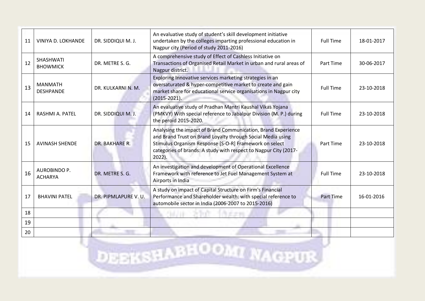| 11 | VINIYA D. LOKHANDE                    | DR. SIDDIQUI M. J.   | An evaluative study of student's skill development initiative<br>undertaken by the colleges imparting professional education in<br>Nagpur city (Period of study 2011-2016)                                                                                              | <b>Full Time</b> | 18-01-2017 |
|----|---------------------------------------|----------------------|-------------------------------------------------------------------------------------------------------------------------------------------------------------------------------------------------------------------------------------------------------------------------|------------------|------------|
| 12 | <b>SHASHWATI</b><br><b>BHOWMICK</b>   | DR. METRE S. G.      | A comprehensive study of Effect of Cashless Initiative on<br>Transactions of Organised Retail Market in urban and rural areas of<br>Nagpur district.                                                                                                                    | Part Time        | 30-06-2017 |
| 13 | <b>MANMATH</b><br><b>DESHPANDE</b>    | DR. KULKARNI N. M.   | Exploring Innovative services marketing strategies in an<br>oversaturated & hyper-competitive market to create and gain<br>market share for educational service organisations in Nagpur city<br>$(2015 - 2021).$                                                        | <b>Full Time</b> | 23-10-2018 |
| 14 | RASHMI A. PATEL                       | DR. SIDDIQUI M. J.   | An evaluative study of Pradhan Mantri Kaushal Vikas Yojana<br>(PMKVY) With special reference to Jabalpur Division (M. P.) during<br>the peroid 2015-2020.                                                                                                               | <b>Full Time</b> | 23-10-2018 |
| 15 | <b>AVINASH SHENDE</b>                 | DR. BAKHARE R.       | Analysing the impact of Brand Communication, Brand Experience<br>and Brand Trust on Brand Loyalty through Social Media using<br>Stimulus Organism Response [S-O-R] Framework on select<br>categories of brands: A study with respect to Nagpur City (2017-<br>$2022$ ). | <b>Part Time</b> | 23-10-2018 |
| 16 | <b>AUROBINDO P.</b><br><b>ACHARYA</b> | DR. METRE S. G.      | An investigation and development of Operational Excellence<br>Framework with reference to Jet Fuel Management System at<br>Airports in India                                                                                                                            | <b>Full Time</b> | 23-10-2018 |
| 17 | <b>BHAVINI PATEL</b>                  | DR. PIPMLAPURE V. U. | A study on impact of Capital Structure on Firm's Financial<br>Performance and Shareholder wealth: with special reference to<br>automobile sector in India (2006-2007 to 2015-2016)                                                                                      | <b>Part Time</b> | 16-01-2016 |
| 18 |                                       |                      |                                                                                                                                                                                                                                                                         |                  |            |
| 19 |                                       |                      |                                                                                                                                                                                                                                                                         |                  |            |
| 20 |                                       |                      |                                                                                                                                                                                                                                                                         |                  |            |

**DEEKSHABHOOMI NAGPUR**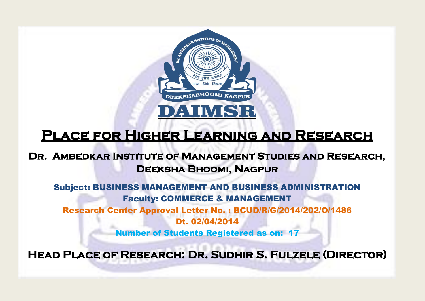

# **Place for Higher Learning and Research**

### **Dr. Ambedkar Institute of Management Studies and Research, Deeksha Bhoomi, Nagpur**

Subject: BUSINESS MANAGEMENT AND BUSINESS ADMINISTRATION Faculty: COMMERCE & MANAGEMENT Research Center Approval Letter No. : BCUD/R/G/2014/202/O/1486 Dt. 02/04/2014 Number of Students Registered as on: 17

**Head Place of Research: Dr. Sudhir S. Fulzele (Director)**